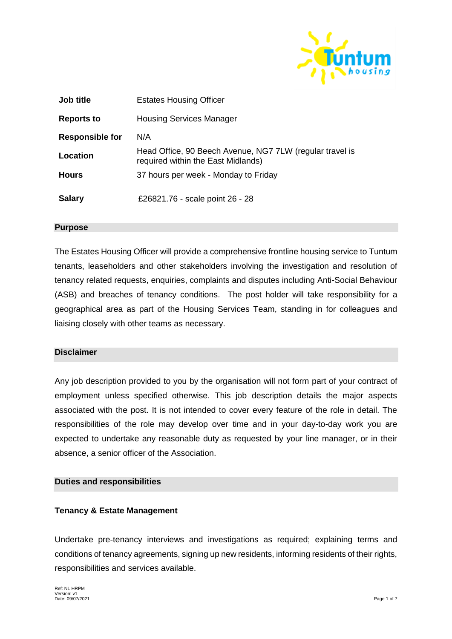

| Job title              | <b>Estates Housing Officer</b>                                                                 |
|------------------------|------------------------------------------------------------------------------------------------|
| <b>Reports to</b>      | <b>Housing Services Manager</b>                                                                |
| <b>Responsible for</b> | N/A                                                                                            |
| Location               | Head Office, 90 Beech Avenue, NG7 7LW (regular travel is<br>required within the East Midlands) |
| <b>Hours</b>           | 37 hours per week - Monday to Friday                                                           |
| <b>Salary</b>          | £26821.76 - scale point 26 - 28                                                                |

#### **Purpose**

The Estates Housing Officer will provide a comprehensive frontline housing service to Tuntum tenants, leaseholders and other stakeholders involving the investigation and resolution of tenancy related requests, enquiries, complaints and disputes including Anti-Social Behaviour (ASB) and breaches of tenancy conditions. The post holder will take responsibility for a geographical area as part of the Housing Services Team, standing in for colleagues and liaising closely with other teams as necessary.

## **Disclaimer**

Any job description provided to you by the organisation will not form part of your contract of employment unless specified otherwise. This job description details the major aspects associated with the post. It is not intended to cover every feature of the role in detail. The responsibilities of the role may develop over time and in your day-to-day work you are expected to undertake any reasonable duty as requested by your line manager, or in their absence, a senior officer of the Association.

#### **Duties and responsibilities**

## **Tenancy & Estate Management**

Undertake pre-tenancy interviews and investigations as required; explaining terms and conditions of tenancy agreements, signing up new residents, informing residents of their rights, responsibilities and services available.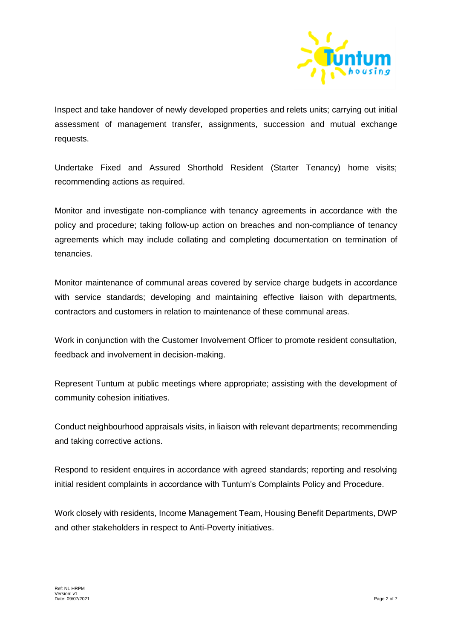

Inspect and take handover of newly developed properties and relets units; carrying out initial assessment of management transfer, assignments, succession and mutual exchange requests.

Undertake Fixed and Assured Shorthold Resident (Starter Tenancy) home visits; recommending actions as required.

Monitor and investigate non-compliance with tenancy agreements in accordance with the policy and procedure; taking follow-up action on breaches and non-compliance of tenancy agreements which may include collating and completing documentation on termination of tenancies.

Monitor maintenance of communal areas covered by service charge budgets in accordance with service standards; developing and maintaining effective liaison with departments, contractors and customers in relation to maintenance of these communal areas.

Work in conjunction with the Customer Involvement Officer to promote resident consultation, feedback and involvement in decision-making.

Represent Tuntum at public meetings where appropriate; assisting with the development of community cohesion initiatives.

Conduct neighbourhood appraisals visits, in liaison with relevant departments; recommending and taking corrective actions.

Respond to resident enquires in accordance with agreed standards; reporting and resolving initial resident complaints in accordance with Tuntum's Complaints Policy and Procedure.

Work closely with residents, Income Management Team, Housing Benefit Departments, DWP and other stakeholders in respect to Anti-Poverty initiatives.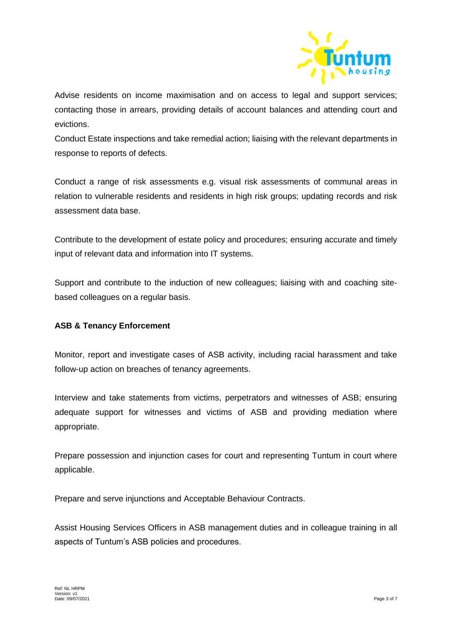

Advise residents on income maximisation and on access to legal and support services; contacting those in arrears, providing details of account balances and attending court and evictions.

Conduct Estate inspections and take remedial action; liaising with the relevant departments in response to reports of defects.

Conduct a range of risk assessments e.g. visual risk assessments of communal areas in relation to vulnerable residents and residents in high risk groups; updating records and risk assessment data base.

Contribute to the development of estate policy and procedures; ensuring accurate and timely input of relevant data and information into IT systems.

Support and contribute to the induction of new colleagues; liaising with and coaching sitebased colleagues on a regular basis.

## **ASB & Tenancy Enforcement**

Monitor, report and investigate cases of ASB activity, including racial harassment and take follow-up action on breaches of tenancy agreements.

Interview and take statements from victims, perpetrators and witnesses of ASB; ensuring adequate support for witnesses and victims of ASB and providing mediation where appropriate.

Prepare possession and injunction cases for court and representing Tuntum in court where applicable.

Prepare and serve injunctions and Acceptable Behaviour Contracts.

Assist Housing Services Officers in ASB management duties and in colleague training in all aspects of Tuntum's ASB policies and procedures.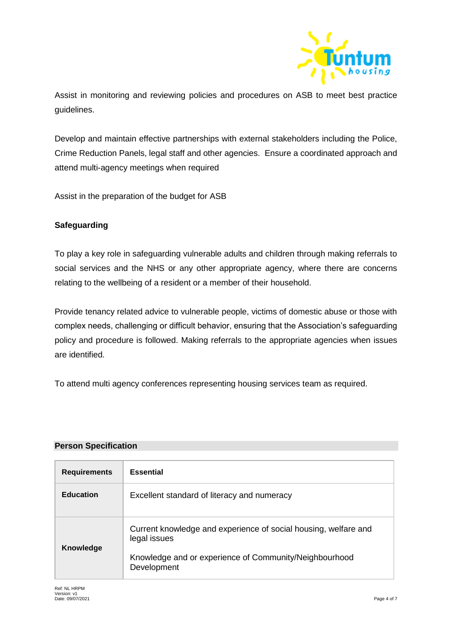

Assist in monitoring and reviewing policies and procedures on ASB to meet best practice guidelines.

Develop and maintain effective partnerships with external stakeholders including the Police, Crime Reduction Panels, legal staff and other agencies. Ensure a coordinated approach and attend multi-agency meetings when required

Assist in the preparation of the budget for ASB

# **Safeguarding**

To play a key role in safeguarding vulnerable adults and children through making referrals to social services and the NHS or any other appropriate agency, where there are concerns relating to the wellbeing of a resident or a member of their household.

Provide tenancy related advice to vulnerable people, victims of domestic abuse or those with complex needs, challenging or difficult behavior, ensuring that the Association's safeguarding policy and procedure is followed. Making referrals to the appropriate agencies when issues are identified.

To attend multi agency conferences representing housing services team as required.

#### **Person Specification**

| <b>Requirements</b> | <b>Essential</b>                                                                |
|---------------------|---------------------------------------------------------------------------------|
| <b>Education</b>    | Excellent standard of literacy and numeracy                                     |
| Knowledge           | Current knowledge and experience of social housing, welfare and<br>legal issues |
|                     | Knowledge and or experience of Community/Neighbourhood<br>Development           |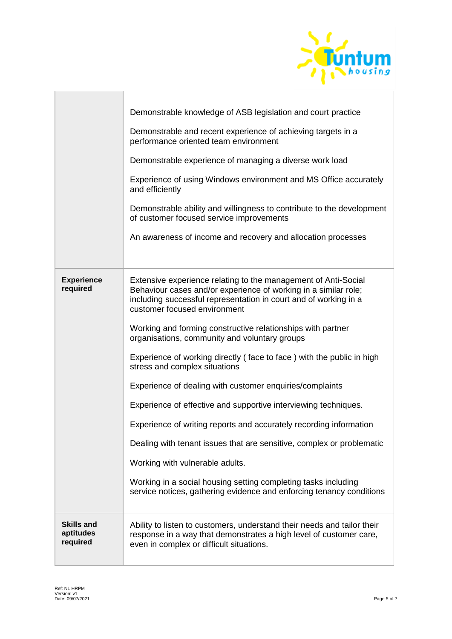

|                                            | Demonstrable knowledge of ASB legislation and court practice<br>Demonstrable and recent experience of achieving targets in a<br>performance oriented team environment<br>Demonstrable experience of managing a diverse work load<br>Experience of using Windows environment and MS Office accurately<br>and efficiently<br>Demonstrable ability and willingness to contribute to the development<br>of customer focused service improvements<br>An awareness of income and recovery and allocation processes                                                                                                                                                                                                                                                                                                                                                                                                               |
|--------------------------------------------|----------------------------------------------------------------------------------------------------------------------------------------------------------------------------------------------------------------------------------------------------------------------------------------------------------------------------------------------------------------------------------------------------------------------------------------------------------------------------------------------------------------------------------------------------------------------------------------------------------------------------------------------------------------------------------------------------------------------------------------------------------------------------------------------------------------------------------------------------------------------------------------------------------------------------|
| <b>Experience</b><br>required              | Extensive experience relating to the management of Anti-Social<br>Behaviour cases and/or experience of working in a similar role;<br>including successful representation in court and of working in a<br>customer focused environment<br>Working and forming constructive relationships with partner<br>organisations, community and voluntary groups<br>Experience of working directly (face to face) with the public in high<br>stress and complex situations<br>Experience of dealing with customer enquiries/complaints<br>Experience of effective and supportive interviewing techniques.<br>Experience of writing reports and accurately recording information<br>Dealing with tenant issues that are sensitive, complex or problematic<br>Working with vulnerable adults.<br>Working in a social housing setting completing tasks including<br>service notices, gathering evidence and enforcing tenancy conditions |
| <b>Skills and</b><br>aptitudes<br>required | Ability to listen to customers, understand their needs and tailor their<br>response in a way that demonstrates a high level of customer care,<br>even in complex or difficult situations.                                                                                                                                                                                                                                                                                                                                                                                                                                                                                                                                                                                                                                                                                                                                  |

 $\overline{\phantom{a}}$ 

٦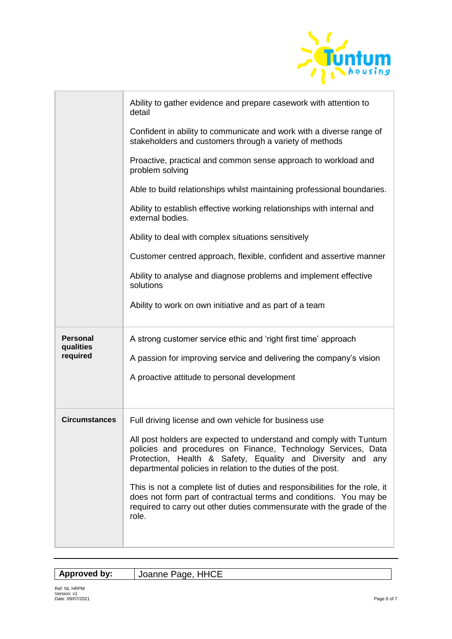

|                                          | Ability to gather evidence and prepare casework with attention to<br>detail                                                                                                                                                                                        |
|------------------------------------------|--------------------------------------------------------------------------------------------------------------------------------------------------------------------------------------------------------------------------------------------------------------------|
|                                          | Confident in ability to communicate and work with a diverse range of<br>stakeholders and customers through a variety of methods                                                                                                                                    |
|                                          | Proactive, practical and common sense approach to workload and<br>problem solving                                                                                                                                                                                  |
|                                          | Able to build relationships whilst maintaining professional boundaries.                                                                                                                                                                                            |
|                                          | Ability to establish effective working relationships with internal and<br>external bodies.                                                                                                                                                                         |
|                                          | Ability to deal with complex situations sensitively                                                                                                                                                                                                                |
|                                          | Customer centred approach, flexible, confident and assertive manner                                                                                                                                                                                                |
|                                          | Ability to analyse and diagnose problems and implement effective<br>solutions                                                                                                                                                                                      |
|                                          | Ability to work on own initiative and as part of a team                                                                                                                                                                                                            |
| <b>Personal</b><br>qualities<br>required | A strong customer service ethic and 'right first time' approach                                                                                                                                                                                                    |
|                                          | A passion for improving service and delivering the company's vision                                                                                                                                                                                                |
|                                          | A proactive attitude to personal development                                                                                                                                                                                                                       |
|                                          |                                                                                                                                                                                                                                                                    |
|                                          |                                                                                                                                                                                                                                                                    |
| <b>Circumstances</b>                     | Full driving license and own vehicle for business use                                                                                                                                                                                                              |
|                                          | All post holders are expected to understand and comply with Tuntum<br>policies and procedures on Finance, Technology Services, Data<br>Protection, Health & Safety, Equality and Diversity and any<br>departmental policies in relation to the duties of the post. |
|                                          | This is not a complete list of duties and responsibilities for the role, it<br>does not form part of contractual terms and conditions. You may be<br>required to carry out other duties commensurate with the grade of the<br>role.                                |

| Approved by: | Joanne Page, HHCE |
|--------------|-------------------|
|              |                   |